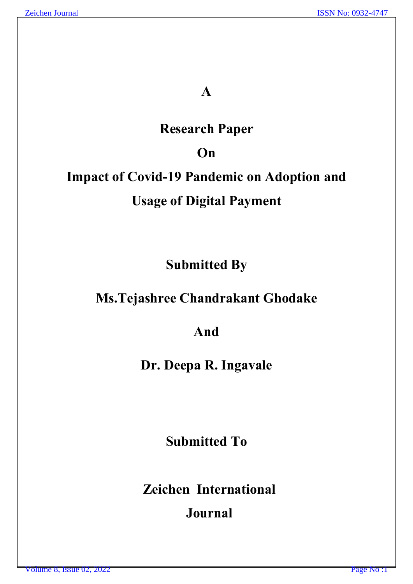# **A**

# **Research Paper**

# **On**

# **Impact of Covid-19 Pandemic on Adoption and Usage of Digital Payment**

**Submitted By**

# **Ms.Tejashree Chandrakant Ghodake**

# **And**

**Dr. Deepa R. Ingavale**

**Submitted To**

**Zeichen International** 

# **Journal**

Volume 8, Issue 02, 2022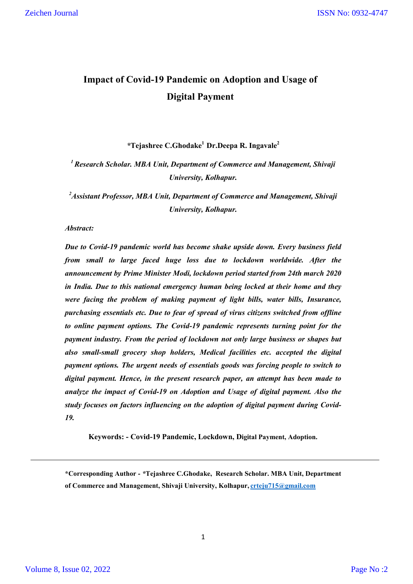### **Impact of Covid-19 Pandemic on Adoption and Usage of Digital Payment**

*\****Tejashree C.Ghodake1 Dr.Deepa R. Ingavale2**

*1 Research Scholar. MBA Unit, Department of Commerce and Management, Shivaji University, Kolhapur.*

*2 Assistant Professor, MBA Unit, Department of Commerce and Management, Shivaji University, Kolhapur.*

*Abstract:*

*Due to Covid-19 pandemic world has become shake upside down. Every business field from small to large faced huge loss due to lockdown worldwide. After the announcement by Prime Minister Modi, lockdown period started from 24th march 2020 in India. Due to this national emergency human being locked at their home and they were facing the problem of making payment of light bills, water bills, Insurance, purchasing essentials etc. Due to fear of spread of virus citizens switched from offline to online payment options. The Covid-19 pandemic represents turning point for the payment industry. From the period of lockdown not only large business or shapes but also small-small grocery shop holders, Medical facilities etc. accepted the digital payment options. The urgent needs of essentials goods was forcing people to switch to digital payment. Hence, in the present research paper, an attempt has been made to analyze the impact of Covid-19 on Adoption and Usage of digital payment. Also the study focuses on factors influencing on the adoption of digital payment during Covid-19.*

**Keywords: - Covid-19 Pandemic, Lockdown, Digital Payment, Adoption.**

1

**<sup>\*</sup>Corresponding Author -** *\****Tejashree C.Ghodake,****Research Scholar. MBA Unit, Department of Commerce and Management, Shivaji University, Kolhapur, crteju715@gmail.com**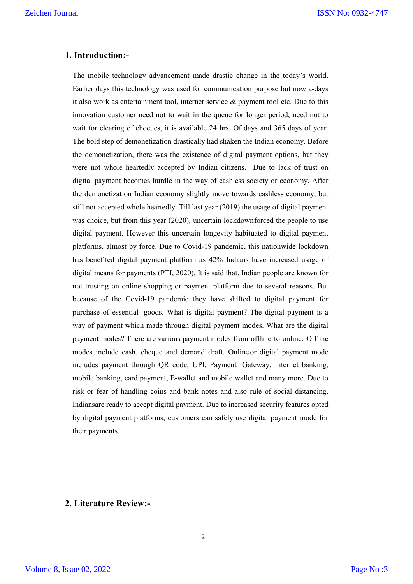### **1. Introduction:-**

The mobile technology advancement made drastic change in the today's world. Earlier days this technology was used for communication purpose but now a-days it also work as entertainment tool, internet service & payment tool etc. Due to this innovation customer need not to wait in the queue for longer period, need not to wait for clearing of chqeues, it is available 24 hrs. Of days and 365 days of year. The bold step of demonetization drastically had shaken the Indian economy. Before the demonetization, there was the existence of digital payment options, but they were not whole heartedly accepted by Indian citizens. Due to lack of trust on digital payment becomes hurdle in the way of cashless society or economy. After the demonetization Indian economy slightly move towards cashless economy, but still not accepted whole heartedly. Till last year (2019) the usage of digital payment was choice, but from this year (2020), uncertain lockdownforced the people to use digital payment. However this uncertain longevity habituated to digital payment platforms, almost by force. Due to Covid-19 pandemic, this nationwide lockdown has benefited digital payment platform as 42% Indians have increased usage of digital means for payments (PTI, 2020). It is said that, Indian people are known for not trusting on online shopping or payment platform due to several reasons. But because of the Covid-19 pandemic they have shifted to digital payment for purchase of essential goods. What is digital payment? The digital payment is a way of payment which made through digital payment modes. What are the digital payment modes? There are various payment modes from offline to online. Offline modes include cash, cheque and demand draft. Online or digital payment mode includes payment through QR code, UPI, Payment Gateway, Internet banking, mobile banking, card payment, E-wallet and mobile wallet and many more. Due to risk or fear of handling coins and bank notes and also rule of social distancing, Indiansare ready to accept digital payment. Due to increased security features opted by digital payment platforms, customers can safely use digital payment mode for their payments.

### **2. Literature Review:-**

Volume 8, Issue 02, 2022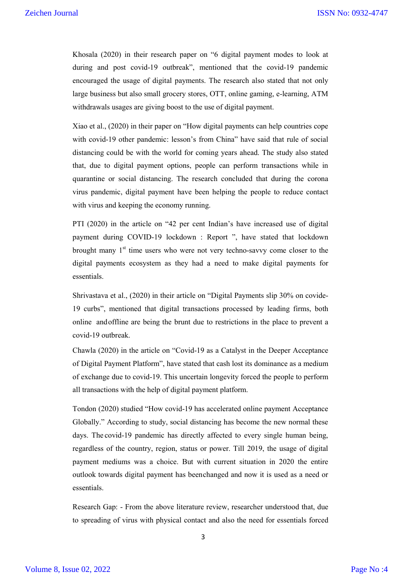Khosala (2020) in their research paper on "6 digital payment modes to look at during and post covid-19 outbreak", mentioned that the covid-19 pandemic encouraged the usage of digital payments. The research also stated that not only large business but also small grocery stores, OTT, online gaming, e-learning, ATM withdrawals usages are giving boost to the use of digital payment.

Xiao et al., (2020) in their paper on "How digital payments can help countries cope with covid-19 other pandemic: lesson's from China" have said that rule of social distancing could be with the world for coming years ahead. The study also stated that, due to digital payment options, people can perform transactions while in quarantine or social distancing. The research concluded that during the corona virus pandemic, digital payment have been helping the people to reduce contact with virus and keeping the economy running.

PTI (2020) in the article on "42 per cent Indian's have increased use of digital payment during COVID-19 lockdown : Report ", have stated that lockdown brought many  $1<sup>st</sup>$  time users who were not very techno-savvy come closer to the digital payments ecosystem as they had a need to make digital payments for essentials.

Shrivastava et al., (2020) in their article on "Digital Payments slip 30% on covide-19 curbs", mentioned that digital transactions processed by leading firms, both online andoffline are being the brunt due to restrictions in the place to prevent a covid-19 outbreak.

Chawla (2020) in the article on "Covid-19 as a Catalyst in the Deeper Acceptance of Digital Payment Platform", have stated that cash lost its dominance as a medium of exchange due to covid-19. This uncertain longevity forced the people to perform all transactions with the help of digital payment platform.

Tondon (2020) studied "How covid-19 has accelerated online payment Acceptance Globally." According to study, social distancing has become the new normal these days. The covid-19 pandemic has directly affected to every single human being, regardless of the country, region, status or power. Till 2019, the usage of digital payment mediums was a choice. But with current situation in 2020 the entire outlook towards digital payment has beenchanged and now it is used as a need or essentials.

Research Gap: - From the above literature review, researcher understood that, due to spreading of virus with physical contact and also the need for essentials forced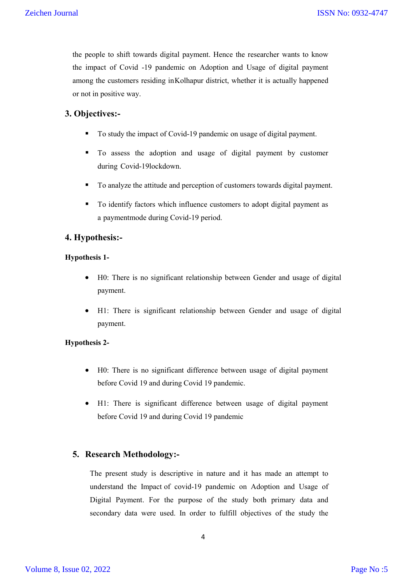the people to shift towards digital payment. Hence the researcher wants to know the impact of Covid -19 pandemic on Adoption and Usage of digital payment among the customers residing inKolhapur district, whether it is actually happened or not in positive way.

### **3. Objectives:-**

- To study the impact of Covid-19 pandemic on usage of digital payment.
- To assess the adoption and usage of digital payment by customer during Covid-19lockdown.
- To analyze the attitude and perception of customers towards digital payment.
- To identify factors which influence customers to adopt digital payment as a paymentmode during Covid-19 period.

### **4. Hypothesis:-**

### **Hypothesis 1-**

- H0: There is no significant relationship between Gender and usage of digital payment.
- H1: There is significant relationship between Gender and usage of digital payment.

#### **Hypothesis 2-**

- H0: There is no significant difference between usage of digital payment before Covid 19 and during Covid 19 pandemic.
- H1: There is significant difference between usage of digital payment before Covid 19 and during Covid 19 pandemic

### **5. Research Methodology:-**

The present study is descriptive in nature and it has made an attempt to understand the Impact of covid-19 pandemic on Adoption and Usage of Digital Payment. For the purpose of the study both primary data and secondary data were used. In order to fulfill objectives of the study the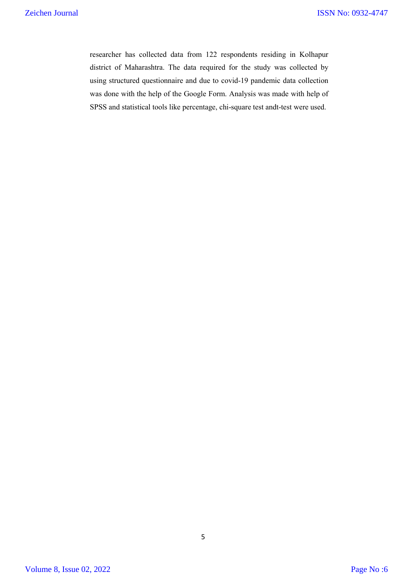researcher has collected data from 122 respondents residing in Kolhapur district of Maharashtra. The data required for the study was collected by using structured questionnaire and due to covid-19 pandemic data collection was done with the help of the Google Form. Analysis was made with help of SPSS and statistical tools like percentage, chi-square test andt-test were used.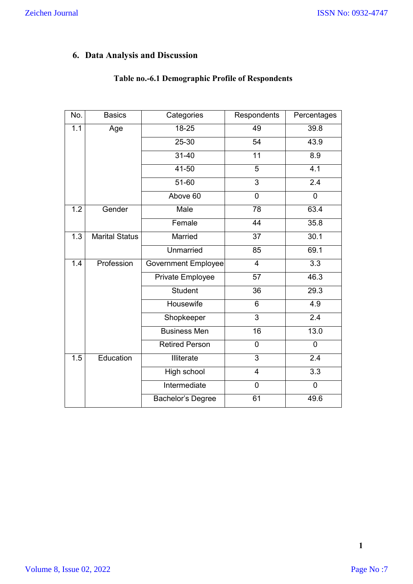### **6. Data Analysis and Discussion**

| No. | <b>Basics</b>         | Categories                 | Respondents     | Percentages      |
|-----|-----------------------|----------------------------|-----------------|------------------|
| 1.1 | Age                   | 18-25                      | 49              | 39.8             |
|     |                       | $25 - 30$                  | $\overline{54}$ | 43.9             |
|     |                       | $31 - 40$                  | 11              | 8.9              |
|     |                       | $41 - 50$                  | $\overline{5}$  | 4.1              |
|     |                       | 51-60                      | 3               | 2.4              |
|     |                       | Above 60                   | $\overline{0}$  | $\overline{0}$   |
| 1.2 | Gender                | Male                       | 78              | 63.4             |
|     |                       | Female                     | 44              | 35.8             |
| 1.3 | <b>Marital Status</b> | Married                    | 37              |                  |
|     |                       | Unmarried                  | 85              | 69.1             |
| 1.4 | Profession            | <b>Government Employee</b> | $\overline{4}$  | $\overline{3.3}$ |
|     |                       | Private Employee           | $\overline{57}$ | 46.3             |
|     |                       | <b>Student</b>             | 36              | 29.3             |
|     |                       | Housewife                  | 6               | $\overline{4.9}$ |
|     |                       | Shopkeeper                 | 3               | 2.4              |
|     |                       | <b>Business Men</b>        | $\overline{16}$ | 13.0             |
|     |                       | <b>Retired Person</b>      | 0               | $\overline{0}$   |
| 1.5 | Education             | <b>Illiterate</b>          | $\overline{3}$  | $\overline{2.4}$ |
|     |                       | High school                | $\overline{4}$  | $\overline{3.3}$ |
|     |                       | Intermediate               | $\mathbf 0$     | $\mathbf 0$      |
|     |                       | Bachelor's Degree          | 61              | 49.6             |

### **Table no.-6.1 Demographic Profile of Respondents**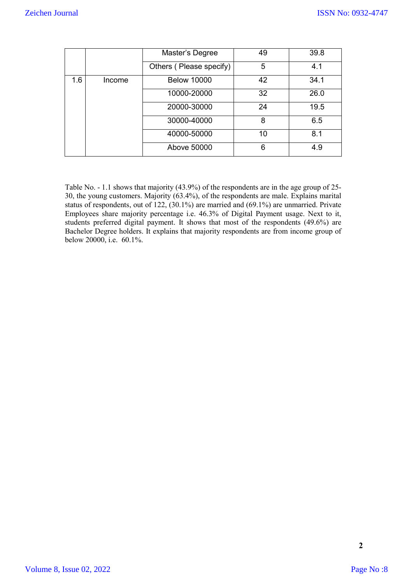|     |        | Master's Degree         | 49 | 39.8 |
|-----|--------|-------------------------|----|------|
|     |        | Others (Please specify) | 5  | 4.1  |
| 1.6 | Income | <b>Below 10000</b>      | 42 | 34.1 |
|     |        | 10000-20000             | 32 | 26.0 |
|     |        | 20000-30000             | 24 | 19.5 |
|     |        | 30000-40000             | 8  | 6.5  |
|     |        | 40000-50000             | 10 | 8.1  |
|     |        | Above 50000             | 6  | 4.9  |

Table No. - 1.1 shows that majority (43.9%) of the respondents are in the age group of 25- 30, the young customers. Majority (63.4%), of the respondents are male. Explains marital status of respondents, out of 122, (30.1%) are married and (69.1%) are unmarried. Private Employees share majority percentage i.e. 46.3% of Digital Payment usage. Next to it, students preferred digital payment. It shows that most of the respondents (49.6%) are Bachelor Degree holders. It explains that majority respondents are from income group of below 20000, i.e. 60.1%.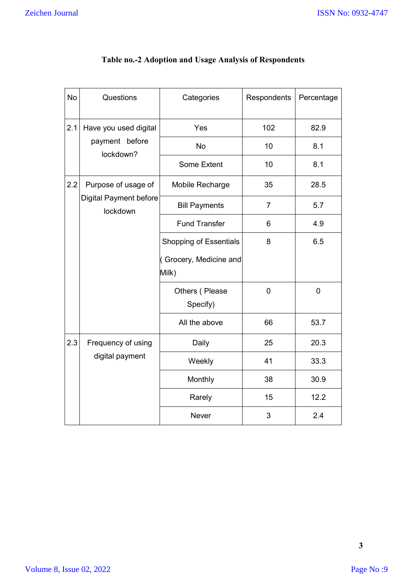| <b>No</b> | Questions                          | Categories                      | Respondents    | Percentage     |
|-----------|------------------------------------|---------------------------------|----------------|----------------|
| 2.1       | Have you used digital              | Yes                             | 102            | 82.9           |
|           | payment before<br>lockdown?        | No                              | 10             | 8.1            |
|           |                                    | <b>Some Extent</b>              | 10             | 8.1            |
| 2.2       | Purpose of usage of                | Mobile Recharge                 | 35             | 28.5           |
|           | Digital Payment before<br>lockdown | <b>Bill Payments</b>            | $\overline{7}$ | 5.7            |
|           |                                    | <b>Fund Transfer</b>            | 6              | 4.9            |
|           |                                    | <b>Shopping of Essentials</b>   | 8              | 6.5            |
|           |                                    | (Grocery, Medicine and<br>Milk) |                |                |
|           |                                    | Others (Please<br>Specify)      | $\overline{0}$ | $\overline{0}$ |
|           |                                    | All the above                   | 66             | 53.7           |
| 2.3       | Frequency of using                 | Daily                           | 25             | 20.3           |
|           | digital payment                    | Weekly                          | 41             | 33.3           |
|           |                                    | Monthly                         | 38             | 30.9           |
|           |                                    | Rarely                          | 15             | 12.2           |
|           |                                    | <b>Never</b>                    | 3              | 2.4            |

### **Table no.-2 Adoption and Usage Analysis of Respondents**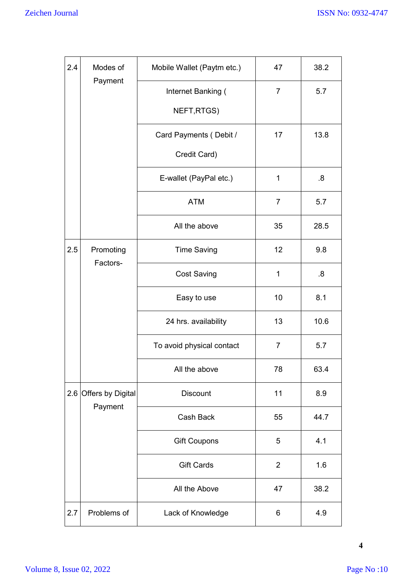| 2.4 | Modes of                             | Mobile Wallet (Paytm etc.)         | 47             | 38.2      |
|-----|--------------------------------------|------------------------------------|----------------|-----------|
|     | Payment                              | Internet Banking (                 | $\overline{7}$ | 5.7       |
|     |                                      | NEFT, RTGS)                        |                |           |
|     |                                      | Card Payments (Debit /             | 17             | 13.8      |
|     |                                      | Credit Card)                       |                |           |
|     | E-wallet (PayPal etc.)<br><b>ATM</b> |                                    | $\mathbf 1$    | 8.5       |
|     |                                      |                                    | $\overline{7}$ | 5.7       |
|     |                                      | All the above                      | 35             | 28.5      |
| 2.5 | Promoting<br>Factors-                | <b>Time Saving</b>                 |                | 9.8       |
|     |                                      | <b>Cost Saving</b><br>Easy to use  |                | $8 \cdot$ |
|     |                                      |                                    |                | 8.1       |
|     |                                      | 24 hrs. availability               | 13             | 10.6      |
|     |                                      | To avoid physical contact          | $\overline{7}$ | 5.7       |
|     |                                      | All the above                      | 78             | 63.4      |
| 2.6 | Offers by Digital<br>Payment         | <b>Discount</b>                    | 11             | 8.9       |
|     |                                      | Cash Back                          | 55             | 44.7      |
|     |                                      | <b>Gift Coupons</b>                | 5              | 4.1       |
|     |                                      | <b>Gift Cards</b><br>All the Above |                | 1.6       |
|     |                                      |                                    |                | 38.2      |
| 2.7 | Problems of                          | Lack of Knowledge                  | 6              | 4.9       |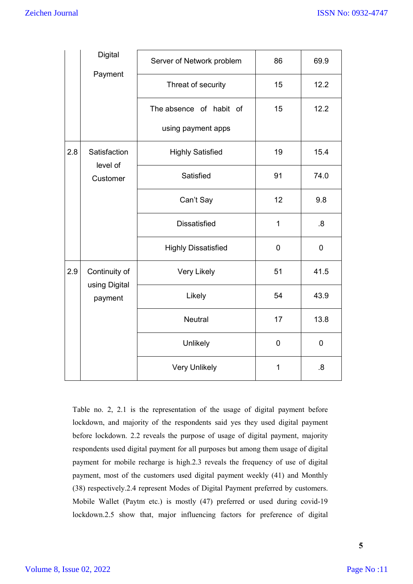|     | Digital<br>Payment             | Server of Network problem                     | 86             | 69.9        |
|-----|--------------------------------|-----------------------------------------------|----------------|-------------|
|     |                                | Threat of security                            | 15             | 12.2        |
|     |                                | The absence of habit of<br>using payment apps | 15             | 12.2        |
| 2.8 | Satisfaction<br>level of       | <b>Highly Satisfied</b>                       | 19             | 15.4        |
|     | Customer                       | Satisfied                                     | 91             | 74.0        |
|     |                                | Can't Say                                     | 12             | 9.8         |
|     |                                | <b>Dissatisfied</b>                           | 1              | .8          |
|     |                                | <b>Highly Dissatisfied</b>                    | $\mathbf 0$    | $\mathbf 0$ |
| 2.9 | Continuity of<br>using Digital | <b>Very Likely</b>                            | 51             | 41.5        |
|     | payment                        | Likely                                        | 54             | 43.9        |
|     |                                | Neutral                                       | 17             | 13.8        |
|     |                                | Unlikely                                      | $\overline{0}$ | $\mathbf 0$ |
|     |                                | <b>Very Unlikely</b>                          | 1              | 8.5         |

Table no. 2, 2.1 is the representation of the usage of digital payment before lockdown, and majority of the respondents said yes they used digital payment before lockdown. 2.2 reveals the purpose of usage of digital payment, majority respondents used digital payment for all purposes but among them usage of digital payment for mobile recharge is high.2.3 reveals the frequency of use of digital payment, most of the customers used digital payment weekly (41) and Monthly (38) respectively.2.4 represent Modes of Digital Payment preferred by customers. Mobile Wallet (Paytm etc.) is mostly (47) preferred or used during covid-19 lockdown.2.5 show that, major influencing factors for preference of digital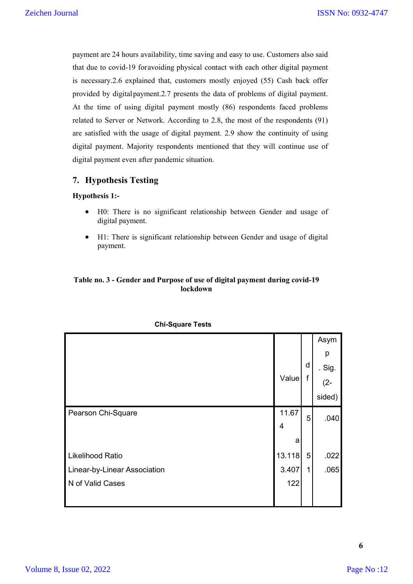payment are 24 hours availability, time saving and easy to use. Customers also said that due to covid-19 foravoiding physical contact with each other digital payment is necessary.2.6 explained that, customers mostly enjoyed (55) Cash back offer provided by digitalpayment.2.7 presents the data of problems of digital payment. At the time of using digital payment mostly (86) respondents faced problems related to Server or Network. According to 2.8, the most of the respondents (91) are satisfied with the usage of digital payment. 2.9 show the continuity of using digital payment. Majority respondents mentioned that they will continue use of digital payment even after pandemic situation.

### **7. Hypothesis Testing**

### **Hypothesis 1:-**

- H0: There is no significant relationship between Gender and usage of digital payment.
- H1: There is significant relationship between Gender and usage of digital payment.

### **Table no. 3 - Gender and Purpose of use of digital payment during covid-19 lockdown**

|                              |        |   | Asym     |
|------------------------------|--------|---|----------|
|                              |        |   | p        |
|                              |        | d | . $Sig.$ |
|                              | Value  | f | $(2 -$   |
|                              |        |   | sided)   |
| Pearson Chi-Square           | 11.67  | 5 | .040     |
|                              | 4      |   |          |
|                              | a      |   |          |
| <b>Likelihood Ratio</b>      | 13.118 | 5 | .022     |
| Linear-by-Linear Association | 3.407  | 1 | .065     |
| N of Valid Cases             | 122    |   |          |
|                              |        |   |          |

#### **Chi-Square Tests**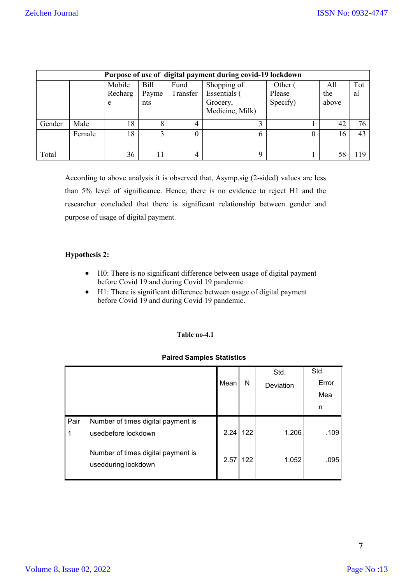|        | Purpose of use of digital payment during covid-19 lockdown     |         |       |          |                 |          |       |    |  |  |  |
|--------|----------------------------------------------------------------|---------|-------|----------|-----------------|----------|-------|----|--|--|--|
|        | Mobile<br>Shopping of<br><b>Bill</b><br>Fund<br>Other (<br>All |         |       |          |                 |          |       |    |  |  |  |
|        |                                                                | Recharg | Payme | Transfer | Essentials (    | Please   | the   | al |  |  |  |
|        |                                                                | e       | nts   |          | Grocery,        | Specify) | above |    |  |  |  |
|        |                                                                |         |       |          | Medicine, Milk) |          |       |    |  |  |  |
| Gender | Male                                                           | 18      | 8     | 4        | 3               |          | 42    | 76 |  |  |  |
|        | Female                                                         | 18      | 3     | $\theta$ | 6               | 0        | 16    | 43 |  |  |  |
| Total  |                                                                | 36      | 11    | 4        | 9               |          | 58    | 19 |  |  |  |

According to above analysis it is observed that, Asymp.sig (2-sided) values are less than 5% level of significance. Hence, there is no evidence to reject H1 and the researcher concluded that there is significant relationship between gender and purpose of usage of digital payment.

### **Hypothesis 2:**

- H0: There is no significant difference between usage of digital payment before Covid 19 and during Covid 19 pandemic
- H1: There is significant difference between usage of digital payment before Covid 19 and during Covid 19 pandemic.

#### **Table no-4.1**

#### **Paired Samples Statistics**

|      |                                                           |      |     | Std.      | Std.  |
|------|-----------------------------------------------------------|------|-----|-----------|-------|
|      |                                                           | Mean | N   | Deviation | Error |
|      |                                                           |      |     |           | Mea   |
|      |                                                           |      |     |           | n     |
| Pair | Number of times digital payment is                        |      |     |           |       |
| 1    | usedbefore lockdown                                       | 2.24 | 122 | 1.206     | .109  |
|      | Number of times digital payment is<br>usedduring lockdown | 2.57 | 122 | 1.052     | .095  |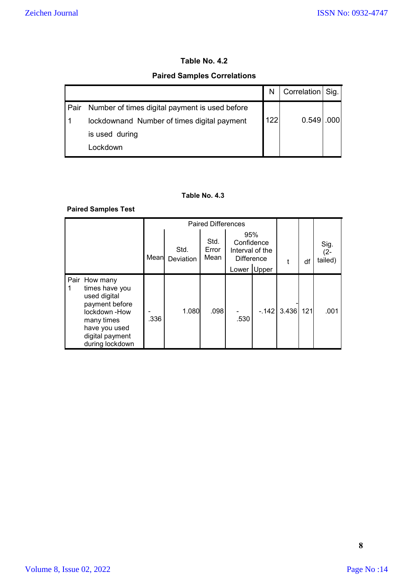### **Table No. 4.2**

### **Paired Samples Correlations**

|      |                                                | Ν   | Correlation Sig. |  |
|------|------------------------------------------------|-----|------------------|--|
| Pair | Number of times digital payment is used before |     |                  |  |
|      | lockdownand Number of times digital payment    | 122 | 0.549            |  |
|      | is used during                                 |     |                  |  |
|      | ⊧ockdown                                       |     |                  |  |

### **Table No. 4.3**

### **Paired Samples Test**

|   |                                                                                                                                                        | Mean | Std.<br><b>Deviation</b> | Std.<br>Error<br>Mean | 95%<br>Confidence<br>Interval of the<br><b>Difference</b><br>Upper<br>Lower |        | t     | df  | Sig.<br>$(2 -$<br>tailed) |
|---|--------------------------------------------------------------------------------------------------------------------------------------------------------|------|--------------------------|-----------------------|-----------------------------------------------------------------------------|--------|-------|-----|---------------------------|
| 1 | Pair How many<br>times have you<br>used digital<br>payment before<br>lockdown-How<br>many times<br>have you used<br>digital payment<br>during lockdown | .336 | 1.080                    | .098                  | .530                                                                        | $-142$ | 3.436 | 121 | .001                      |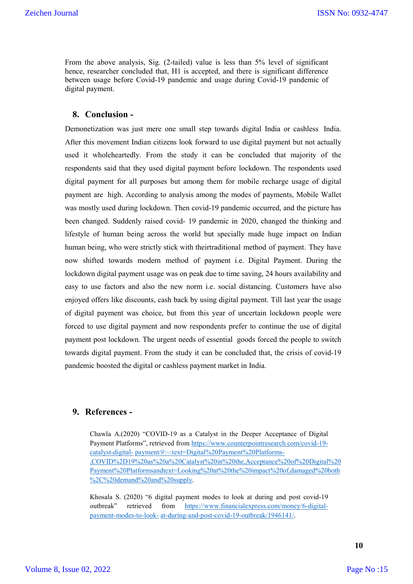From the above analysis, Sig. (2-tailed) value is less than 5% level of significant hence, researcher concluded that, H1 is accepted, and there is significant difference between usage before Covid-19 pandemic and usage during Covid-19 pandemic of digital payment.

### **8. Conclusion -**

Demonetization was just mere one small step towards digital India or cashless India. After this movement Indian citizens look forward to use digital payment but not actually used it wholeheartedly. From the study it can be concluded that majority of the respondents said that they used digital payment before lockdown. The respondents used digital payment for all purposes but among them for mobile recharge usage of digital payment are high. According to analysis among the modes of payments, Mobile Wallet was mostly used during lockdown. Then covid-19 pandemic occurred, and the picture has been changed. Suddenly raised covid- 19 pandemic in 2020, changed the thinking and lifestyle of human being across the world but specially made huge impact on Indian human being, who were strictly stick with theirtraditional method of payment. They have now shifted towards modern method of payment i.e. Digital Payment. During the lockdown digital payment usage was on peak due to time saving, 24 hours availability and easy to use factors and also the new norm i.e. social distancing. Customers have also enjoyed offers like discounts, cash back by using digital payment. Till last year the usage of digital payment was choice, but from this year of uncertain lockdown people were forced to use digital payment and now respondents prefer to continue the use of digital payment post lockdown. The urgent needs of essential goods forced the people to switch towards digital payment. From the study it can be concluded that, the crisis of covid-19 pandemic boosted the digital or cashless payment market in India.

### **9. References -**

Chawla A.(2020) "COVID-19 as a Catalyst in the Deeper Acceptance of Digital Payment Platforms", retrieved from https://www.counterpointresearch.com/covid-19 catalyst-digital- payment/#:~:text=Digital%20Payment%20Platforms- ,COVID%2D19%20as%20a%20Catalyst%20in%20the,Acceptance%20of%20Digital%20 Payment%20Platformsandtext=Looking%20at%20the%20impact%20of,damaged%20both %2C%20demand%20and%20supply.

Khosala S. (2020) "6 digital payment modes to look at during and post covid-19 outbreak" retrieved from https://www.financialexpress.com/money/6-digitalpayment-modes-to-look- at-during-and-post-covid-19-outbreak/1946141/.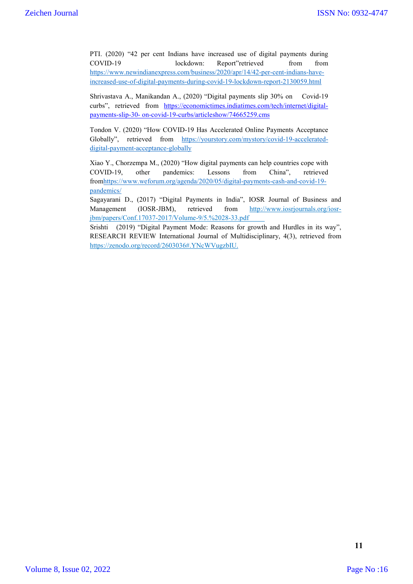PTI. (2020) "42 per cent Indians have increased use of digital payments during COVID-19 lockdown: Report"retrieved from from https://www.newindianexpress.com/business/2020/apr/14/42-per-cent-indians-haveincreased-use-of-digital-payments-during-covid-19-lockdown-report-2130059.html

Shrivastava A., Manikandan A., (2020) "Digital payments slip 30% on Covid-19 curbs", retrieved from https://economictimes.indiatimes.com/tech/internet/digitalpayments-slip-30- on-covid-19-curbs/articleshow/74665259.cms

Tondon V. (2020) "How COVID-19 Has Accelerated Online Payments Acceptance Globally", retrieved from https://yourstory.com/mystory/covid-19-accelerateddigital-payment-acceptance-globally

Xiao Y., Chorzempa M., (2020) "How digital payments can help countries cope with COVID-19, other pandemics: Lessons from China", retrieved fromhttps://www.weforum.org/agenda/2020/05/digital-payments-cash-and-covid-19 pandemics/

Sagayarani D., (2017) "Digital Payments in India", IOSR Journal of Business and Management (IOSR-JBM), retrieved from http://www.iosrjournals.org/iosrjbm/papers/Conf.17037-2017/Volume-9/5.%2028-33.pdf

Srishti (2019) "Digital Payment Mode: Reasons for growth and Hurdles in its way", RESEARCH REVIEW International Journal of Multidisciplinary, 4(3), retrieved from https://zenodo.org/record/2603036#.YNcWVugzbIU.